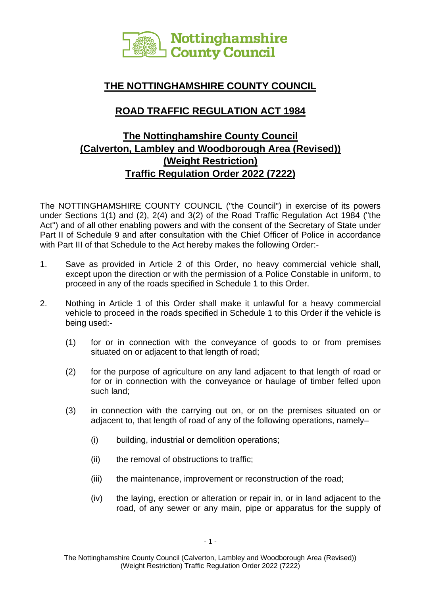

## **THE NOTTINGHAMSHIRE COUNTY COUNCIL**

# **ROAD TRAFFIC REGULATION ACT 1984**

# **The Nottinghamshire County Council (Calverton, Lambley and Woodborough Area (Revised)) (Weight Restriction) Traffic Regulation Order 2022 (7222)**

The NOTTINGHAMSHIRE COUNTY COUNCIL ("the Council") in exercise of its powers under Sections 1(1) and (2), 2(4) and 3(2) of the Road Traffic Regulation Act 1984 ("the Act") and of all other enabling powers and with the consent of the Secretary of State under Part II of Schedule 9 and after consultation with the Chief Officer of Police in accordance with Part III of that Schedule to the Act hereby makes the following Order:-

- 1. Save as provided in Article 2 of this Order, no heavy commercial vehicle shall, except upon the direction or with the permission of a Police Constable in uniform, to proceed in any of the roads specified in Schedule 1 to this Order.
- 2. Nothing in Article 1 of this Order shall make it unlawful for a heavy commercial vehicle to proceed in the roads specified in Schedule 1 to this Order if the vehicle is being used:-
	- (1) for or in connection with the conveyance of goods to or from premises situated on or adjacent to that length of road;
	- (2) for the purpose of agriculture on any land adjacent to that length of road or for or in connection with the conveyance or haulage of timber felled upon such land;
	- (3) in connection with the carrying out on, or on the premises situated on or adjacent to, that length of road of any of the following operations, namely–
		- (i) building, industrial or demolition operations;
		- (ii) the removal of obstructions to traffic;
		- (iii) the maintenance, improvement or reconstruction of the road;
		- (iv) the laying, erection or alteration or repair in, or in land adjacent to the road, of any sewer or any main, pipe or apparatus for the supply of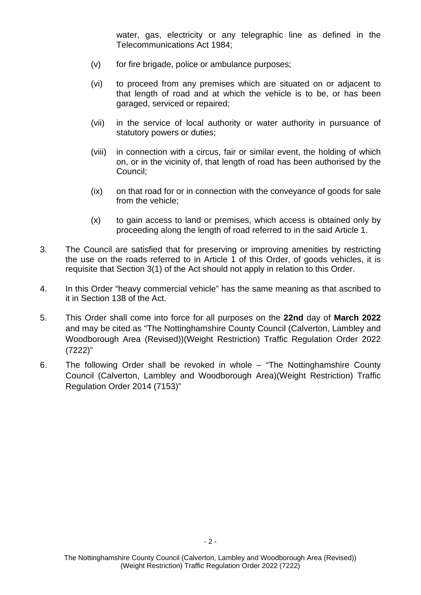water, gas, electricity or any telegraphic line as defined in the Telecommunications Act 1984;

- (v) for fire brigade, police or ambulance purposes;
- (vi) to proceed from any premises which are situated on or adjacent to that length of road and at which the vehicle is to be, or has been garaged, serviced or repaired;
- (vii) in the service of local authority or water authority in pursuance of statutory powers or duties;
- (viii) in connection with a circus, fair or similar event, the holding of which on, or in the vicinity of, that length of road has been authorised by the Council;
- (ix) on that road for or in connection with the conveyance of goods for sale from the vehicle;
- (x) to gain access to land or premises, which access is obtained only by proceeding along the length of road referred to in the said Article 1.
- 3. The Council are satisfied that for preserving or improving amenities by restricting the use on the roads referred to in Article 1 of this Order, of goods vehicles, it is requisite that Section 3(1) of the Act should not apply in relation to this Order.
- 4. In this Order "heavy commercial vehicle" has the same meaning as that ascribed to it in Section 138 of the Act.
- 5. This Order shall come into force for all purposes on the **22nd** day of **March 2022** and may be cited as "The Nottinghamshire County Council (Calverton, Lambley and Woodborough Area (Revised))(Weight Restriction) Traffic Regulation Order 2022 (7222)"
- 6. The following Order shall be revoked in whole "The Nottinghamshire County Council (Calverton, Lambley and Woodborough Area)(Weight Restriction) Traffic Regulation Order 2014 (7153)"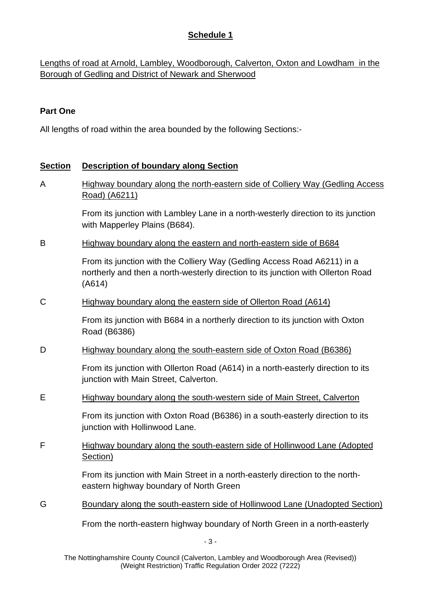## **Schedule 1**

Lengths of road at Arnold, Lambley, Woodborough, Calverton, Oxton and Lowdham in the Borough of Gedling and District of Newark and Sherwood

## **Part One**

All lengths of road within the area bounded by the following Sections:-

### **Section Description of boundary along Section**

A Highway boundary along the north-eastern side of Colliery Way (Gedling Access Road) (A6211)

> From its junction with Lambley Lane in a north-westerly direction to its junction with Mapperley Plains (B684).

B Highway boundary along the eastern and north-eastern side of B684

From its junction with the Colliery Way (Gedling Access Road A6211) in a northerly and then a north-westerly direction to its junction with Ollerton Road (A614)

C Highway boundary along the eastern side of Ollerton Road (A614)

From its junction with B684 in a northerly direction to its junction with Oxton Road (B6386)

D Highway boundary along the south-eastern side of Oxton Road (B6386)

From its junction with Ollerton Road (A614) in a north-easterly direction to its junction with Main Street, Calverton.

E Highway boundary along the south-western side of Main Street, Calverton

From its junction with Oxton Road (B6386) in a south-easterly direction to its junction with Hollinwood Lane.

F Highway boundary along the south-eastern side of Hollinwood Lane (Adopted Section)

> From its junction with Main Street in a north-easterly direction to the northeastern highway boundary of North Green

G Boundary along the south-eastern side of Hollinwood Lane (Unadopted Section)

From the north-eastern highway boundary of North Green in a north-easterly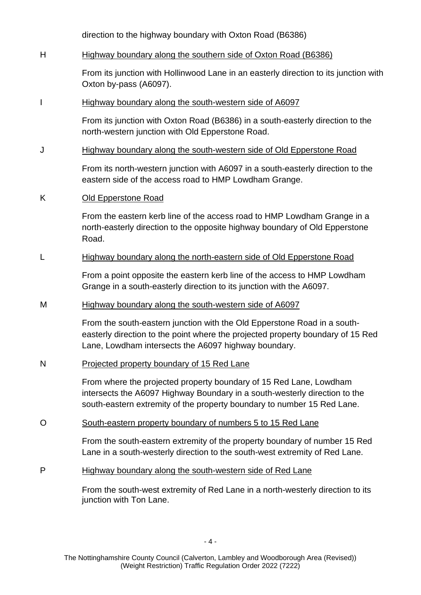direction to the highway boundary with Oxton Road (B6386)

#### H Highway boundary along the southern side of Oxton Road (B6386)

From its junction with Hollinwood Lane in an easterly direction to its junction with Oxton by-pass (A6097).

#### I Highway boundary along the south-western side of A6097

From its junction with Oxton Road (B6386) in a south-easterly direction to the north-western junction with Old Epperstone Road.

#### J Highway boundary along the south-western side of Old Epperstone Road

From its north-western junction with A6097 in a south-easterly direction to the eastern side of the access road to HMP Lowdham Grange.

#### K Old Epperstone Road

From the eastern kerb line of the access road to HMP Lowdham Grange in a north-easterly direction to the opposite highway boundary of Old Epperstone Road.

#### L Highway boundary along the north-eastern side of Old Epperstone Road

From a point opposite the eastern kerb line of the access to HMP Lowdham Grange in a south-easterly direction to its junction with the A6097.

#### M Highway boundary along the south-western side of A6097

From the south-eastern junction with the Old Epperstone Road in a southeasterly direction to the point where the projected property boundary of 15 Red Lane, Lowdham intersects the A6097 highway boundary.

#### N Projected property boundary of 15 Red Lane

From where the projected property boundary of 15 Red Lane, Lowdham intersects the A6097 Highway Boundary in a south-westerly direction to the south-eastern extremity of the property boundary to number 15 Red Lane.

#### O South-eastern property boundary of numbers 5 to 15 Red Lane

From the south-eastern extremity of the property boundary of number 15 Red Lane in a south-westerly direction to the south-west extremity of Red Lane.

## P Highway boundary along the south-western side of Red Lane

From the south-west extremity of Red Lane in a north-westerly direction to its junction with Ton Lane.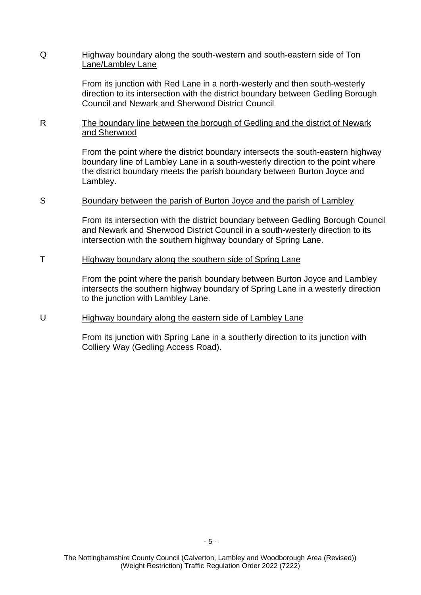#### Q Highway boundary along the south-western and south-eastern side of Ton Lane/Lambley Lane

From its junction with Red Lane in a north-westerly and then south-westerly direction to its intersection with the district boundary between Gedling Borough Council and Newark and Sherwood District Council

R The boundary line between the borough of Gedling and the district of Newark and Sherwood

> From the point where the district boundary intersects the south-eastern highway boundary line of Lambley Lane in a south-westerly direction to the point where the district boundary meets the parish boundary between Burton Joyce and Lambley.

#### S Boundary between the parish of Burton Joyce and the parish of Lambley

From its intersection with the district boundary between Gedling Borough Council and Newark and Sherwood District Council in a south-westerly direction to its intersection with the southern highway boundary of Spring Lane.

#### T Highway boundary along the southern side of Spring Lane

From the point where the parish boundary between Burton Joyce and Lambley intersects the southern highway boundary of Spring Lane in a westerly direction to the junction with Lambley Lane.

#### U Highway boundary along the eastern side of Lambley Lane

From its junction with Spring Lane in a southerly direction to its junction with Colliery Way (Gedling Access Road).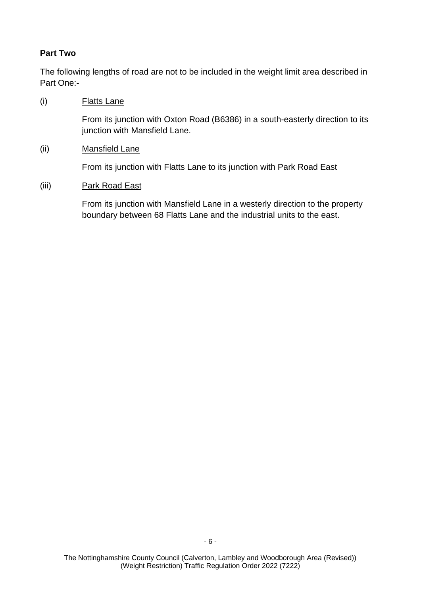## **Part Two**

The following lengths of road are not to be included in the weight limit area described in Part One:-

(i) Flatts Lane

From its junction with Oxton Road (B6386) in a south-easterly direction to its junction with Mansfield Lane.

(ii) Mansfield Lane

From its junction with Flatts Lane to its junction with Park Road East

(iii) Park Road East

From its junction with Mansfield Lane in a westerly direction to the property boundary between 68 Flatts Lane and the industrial units to the east.